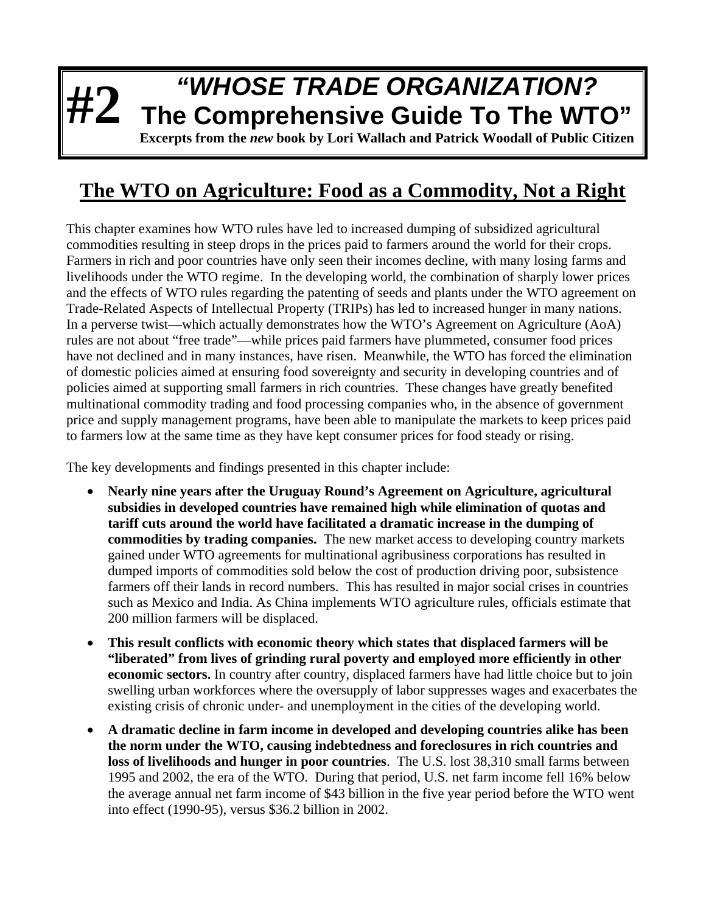## **#2** *"WHOSE TRADE ORGANIZATION?* **The Comprehensive Guide To The WTO"**

**Excerpts from the** *new* **book by Lori Wallach and Patrick Woodall of Public Citizen**

## **The WTO on Agriculture: Food as a Commodity, Not a Right**

This chapter examines how WTO rules have led to increased dumping of subsidized agricultural commodities resulting in steep drops in the prices paid to farmers around the world for their crops. Farmers in rich and poor countries have only seen their incomes decline, with many losing farms and livelihoods under the WTO regime. In the developing world, the combination of sharply lower prices and the effects of WTO rules regarding the patenting of seeds and plants under the WTO agreement on Trade-Related Aspects of Intellectual Property (TRIPs) has led to increased hunger in many nations. In a perverse twist—which actually demonstrates how the WTO's Agreement on Agriculture (AoA) rules are not about "free trade"—while prices paid farmers have plummeted, consumer food prices have not declined and in many instances, have risen. Meanwhile, the WTO has forced the elimination of domestic policies aimed at ensuring food sovereignty and security in developing countries and of policies aimed at supporting small farmers in rich countries. These changes have greatly benefited multinational commodity trading and food processing companies who, in the absence of government price and supply management programs, have been able to manipulate the markets to keep prices paid to farmers low at the same time as they have kept consumer prices for food steady or rising.

The key developments and findings presented in this chapter include:

- **Nearly nine years after the Uruguay Round's Agreement on Agriculture, agricultural subsidies in developed countries have remained high while elimination of quotas and tariff cuts around the world have facilitated a dramatic increase in the dumping of commodities by trading companies.** The new market access to developing country markets gained under WTO agreements for multinational agribusiness corporations has resulted in dumped imports of commodities sold below the cost of production driving poor, subsistence farmers off their lands in record numbers. This has resulted in major social crises in countries such as Mexico and India. As China implements WTO agriculture rules, officials estimate that 200 million farmers will be displaced.
- **This result conflicts with economic theory which states that displaced farmers will be "liberated" from lives of grinding rural poverty and employed more efficiently in other economic sectors.** In country after country, displaced farmers have had little choice but to join swelling urban workforces where the oversupply of labor suppresses wages and exacerbates the existing crisis of chronic under- and unemployment in the cities of the developing world.
- **A dramatic decline in farm income in developed and developing countries alike has been the norm under the WTO, causing indebtedness and foreclosures in rich countries and loss of livelihoods and hunger in poor countries**. The U.S. lost 38,310 small farms between 1995 and 2002, the era of the WTO. During that period, U.S. net farm income fell 16% below the average annual net farm income of \$43 billion in the five year period before the WTO went into effect (1990-95), versus \$36.2 billion in 2002.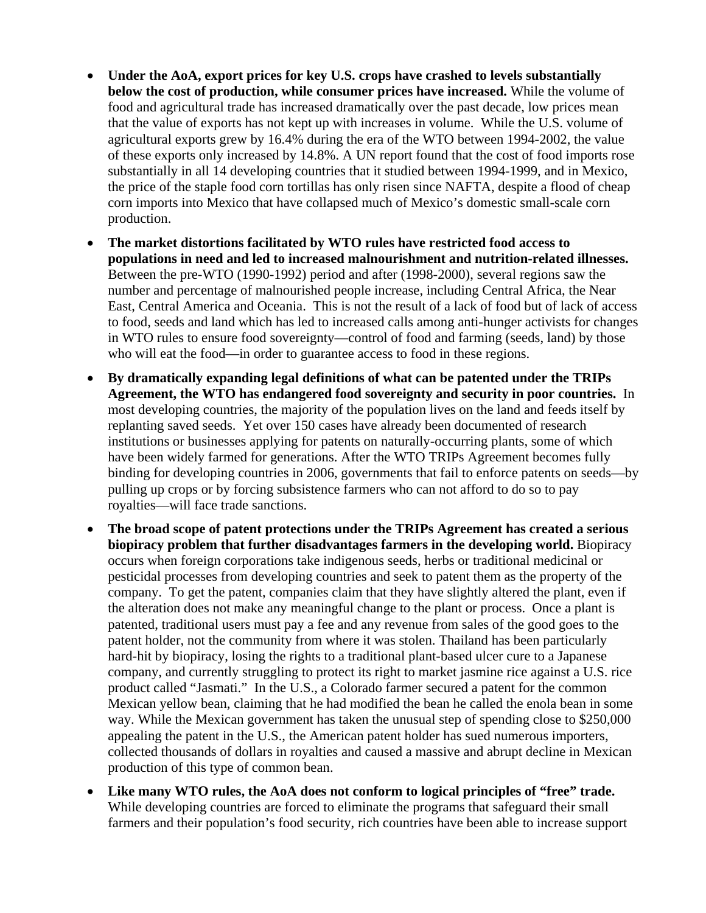- **Under the AoA, export prices for key U.S. crops have crashed to levels substantially below the cost of production, while consumer prices have increased.** While the volume of food and agricultural trade has increased dramatically over the past decade, low prices mean that the value of exports has not kept up with increases in volume. While the U.S. volume of agricultural exports grew by 16.4% during the era of the WTO between 1994-2002, the value of these exports only increased by 14.8%. A UN report found that the cost of food imports rose substantially in all 14 developing countries that it studied between 1994-1999, and in Mexico, the price of the staple food corn tortillas has only risen since NAFTA, despite a flood of cheap corn imports into Mexico that have collapsed much of Mexico's domestic small-scale corn production.
- **The market distortions facilitated by WTO rules have restricted food access to populations in need and led to increased malnourishment and nutrition-related illnesses.**  Between the pre-WTO (1990-1992) period and after (1998-2000), several regions saw the number and percentage of malnourished people increase, including Central Africa, the Near East, Central America and Oceania. This is not the result of a lack of food but of lack of access to food, seeds and land which has led to increased calls among anti-hunger activists for changes in WTO rules to ensure food sovereignty—control of food and farming (seeds, land) by those who will eat the food—in order to guarantee access to food in these regions.
- **By dramatically expanding legal definitions of what can be patented under the TRIPs Agreement, the WTO has endangered food sovereignty and security in poor countries.** In most developing countries, the majority of the population lives on the land and feeds itself by replanting saved seeds. Yet over 150 cases have already been documented of research institutions or businesses applying for patents on naturally-occurring plants, some of which have been widely farmed for generations. After the WTO TRIPs Agreement becomes fully binding for developing countries in 2006, governments that fail to enforce patents on seeds—by pulling up crops or by forcing subsistence farmers who can not afford to do so to pay royalties—will face trade sanctions.
- **The broad scope of patent protections under the TRIPs Agreement has created a serious biopiracy problem that further disadvantages farmers in the developing world.** Biopiracy occurs when foreign corporations take indigenous seeds, herbs or traditional medicinal or pesticidal processes from developing countries and seek to patent them as the property of the company. To get the patent, companies claim that they have slightly altered the plant, even if the alteration does not make any meaningful change to the plant or process. Once a plant is patented, traditional users must pay a fee and any revenue from sales of the good goes to the patent holder, not the community from where it was stolen. Thailand has been particularly hard-hit by biopiracy, losing the rights to a traditional plant-based ulcer cure to a Japanese company, and currently struggling to protect its right to market jasmine rice against a U.S. rice product called "Jasmati." In the U.S., a Colorado farmer secured a patent for the common Mexican yellow bean, claiming that he had modified the bean he called the enola bean in some way. While the Mexican government has taken the unusual step of spending close to \$250,000 appealing the patent in the U.S., the American patent holder has sued numerous importers, collected thousands of dollars in royalties and caused a massive and abrupt decline in Mexican production of this type of common bean.
- **Like many WTO rules, the AoA does not conform to logical principles of "free" trade.**  While developing countries are forced to eliminate the programs that safeguard their small farmers and their population's food security, rich countries have been able to increase support